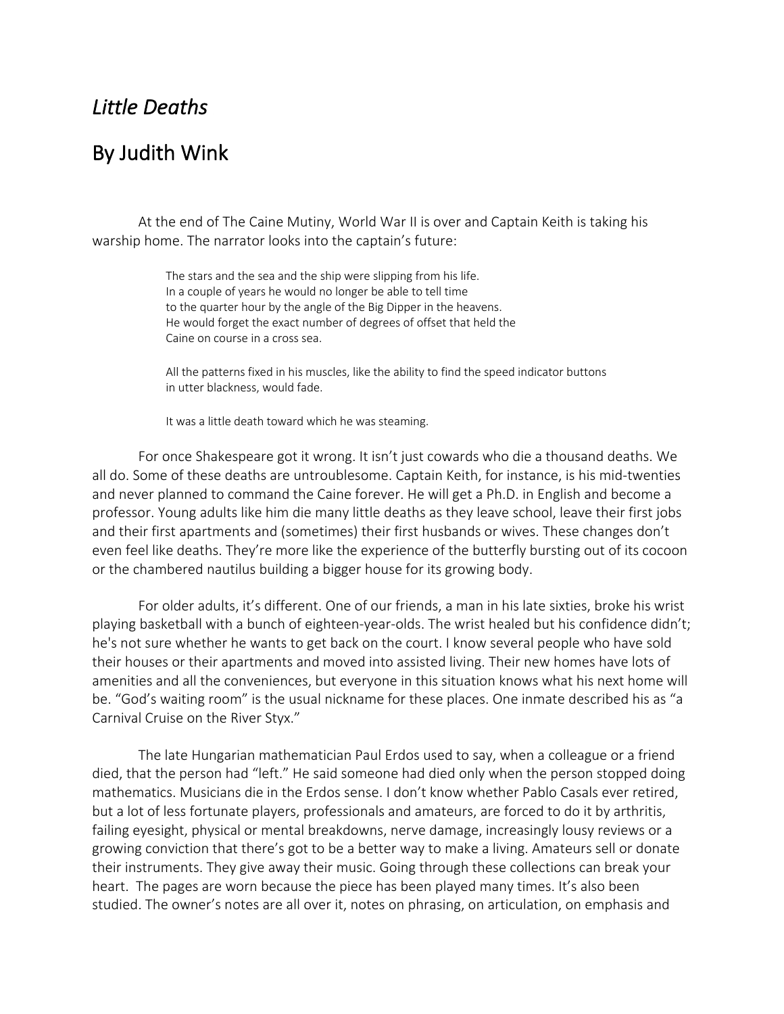## *Little Deaths*

## By Judith Wink

At the end of The Caine Mutiny, World War II is over and Captain Keith is taking his warship home. The narrator looks into the captain's future:

> The stars and the sea and the ship were slipping from his life. In a couple of years he would no longer be able to tell time to the quarter hour by the angle of the Big Dipper in the heavens. He would forget the exact number of degrees of offset that held the Caine on course in a cross sea.

All the patterns fixed in his muscles, like the ability to find the speed indicator buttons in utter blackness, would fade.

It was a little death toward which he was steaming.

For once Shakespeare got it wrong. It isn't just cowards who die a thousand deaths. We all do. Some of these deaths are untroublesome. Captain Keith, for instance, is his mid-twenties and never planned to command the Caine forever. He will get a Ph.D. in English and become a professor. Young adults like him die many little deaths as they leave school, leave their first jobs and their first apartments and (sometimes) their first husbands or wives. These changes don't even feel like deaths. They're more like the experience of the butterfly bursting out of its cocoon or the chambered nautilus building a bigger house for its growing body.

For older adults, it's different. One of our friends, a man in his late sixties, broke his wrist playing basketball with a bunch of eighteen-year-olds. The wrist healed but his confidence didn't; he's not sure whether he wants to get back on the court. I know several people who have sold their houses or their apartments and moved into assisted living. Their new homes have lots of amenities and all the conveniences, but everyone in this situation knows what his next home will be. "God's waiting room" is the usual nickname for these places. One inmate described his as "a Carnival Cruise on the River Styx."

The late Hungarian mathematician Paul Erdos used to say, when a colleague or a friend died, that the person had "left." He said someone had died only when the person stopped doing mathematics. Musicians die in the Erdos sense. I don't know whether Pablo Casals ever retired, but a lot of less fortunate players, professionals and amateurs, are forced to do it by arthritis, failing eyesight, physical or mental breakdowns, nerve damage, increasingly lousy reviews or a growing conviction that there's got to be a better way to make a living. Amateurs sell or donate their instruments. They give away their music. Going through these collections can break your heart. The pages are worn because the piece has been played many times. It's also been studied. The owner's notes are all over it, notes on phrasing, on articulation, on emphasis and